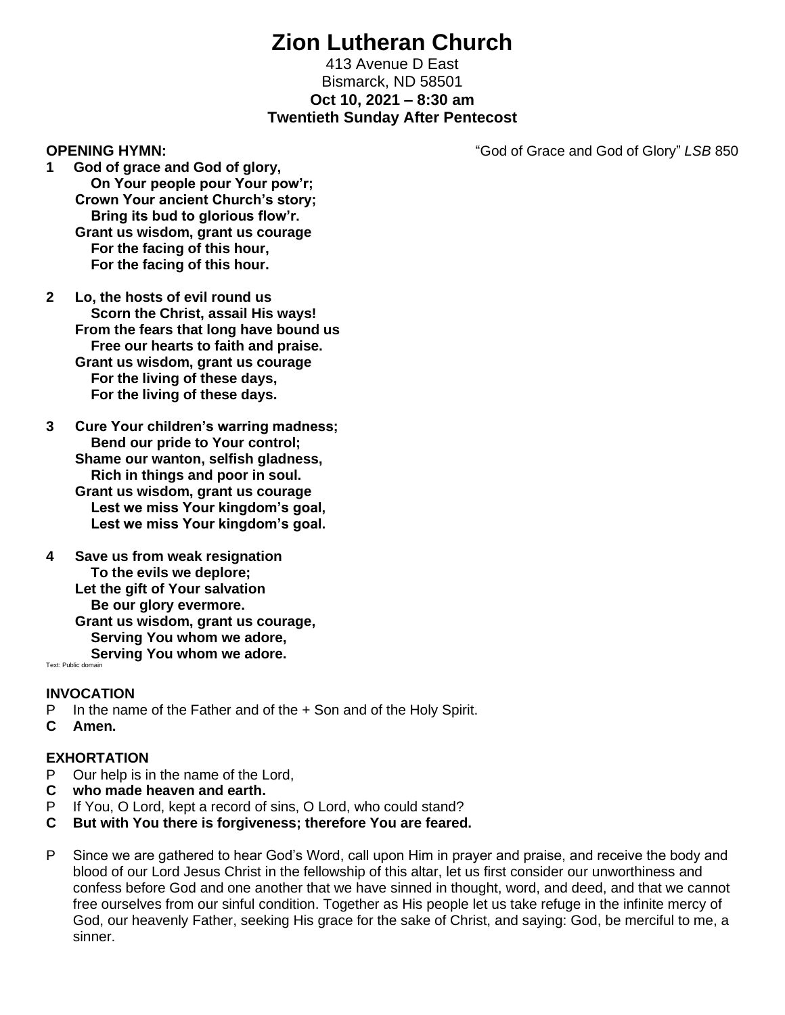# **Zion Lutheran Church**

### 413 Avenue D East Bismarck, ND 58501 **Oct 10, 2021 – 8:30 am Twentieth Sunday After Pentecost**

**OPENING HYMN:** "God of Grace and God of Glory" *LSB* 850

- **1 God of grace and God of glory, On Your people pour Your pow'r; Crown Your ancient Church's story; Bring its bud to glorious flow'r. Grant us wisdom, grant us courage For the facing of this hour, For the facing of this hour.**
- **2 Lo, the hosts of evil round us Scorn the Christ, assail His ways! From the fears that long have bound us Free our hearts to faith and praise. Grant us wisdom, grant us courage For the living of these days, For the living of these days.**
- **3 Cure Your children's warring madness; Bend our pride to Your control; Shame our wanton, selfish gladness, Rich in things and poor in soul. Grant us wisdom, grant us courage Lest we miss Your kingdom's goal, Lest we miss Your kingdom's goal.**
- **4 Save us from weak resignation To the evils we deplore; Let the gift of Your salvation Be our glory evermore. Grant us wisdom, grant us courage, Serving You whom we adore, Serving You whom we adore.**

Text: Public domain

### **INVOCATION**

- P In the name of the Father and of the + Son and of the Holy Spirit.
- **C Amen.**

### **EXHORTATION**

- P Our help is in the name of the Lord,
- **C who made heaven and earth.**
- P If You, O Lord, kept a record of sins, O Lord, who could stand?
- **C But with You there is forgiveness; therefore You are feared.**
- P Since we are gathered to hear God's Word, call upon Him in prayer and praise, and receive the body and blood of our Lord Jesus Christ in the fellowship of this altar, let us first consider our unworthiness and confess before God and one another that we have sinned in thought, word, and deed, and that we cannot free ourselves from our sinful condition. Together as His people let us take refuge in the infinite mercy of God, our heavenly Father, seeking His grace for the sake of Christ, and saying: God, be merciful to me, a sinner.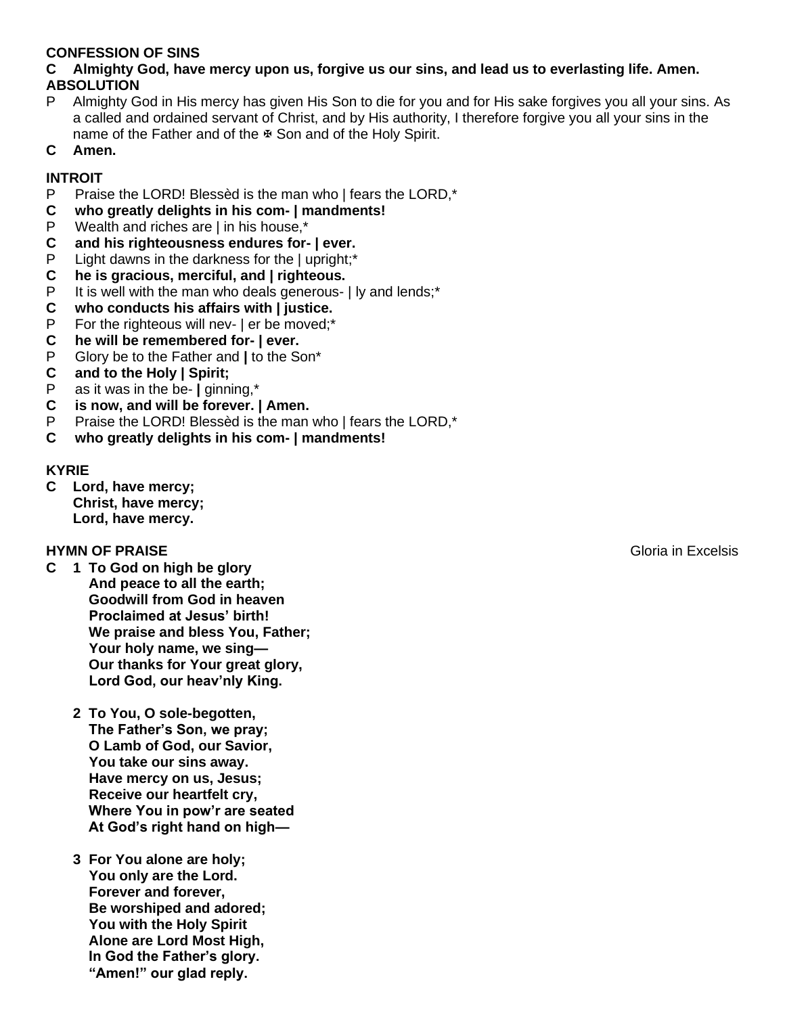### **CONFESSION OF SINS**

### **C Almighty God, have mercy upon us, forgive us our sins, and lead us to everlasting life. Amen. ABSOLUTION**

- P Almighty God in His mercy has given His Son to die for you and for His sake forgives you all your sins. As a called and ordained servant of Christ, and by His authority, I therefore forgive you all your sins in the name of the Father and of the  $\overline{x}$  Son and of the Holy Spirit.
- **C Amen.**

# **INTROIT**

- P Praise the LORD! Blessèd is the man who | fears the LORD,\*
- **C who greatly delights in his com- | mandments!**
- P Wealth and riches are  $|$  in his house,\*<br>C and his righteousness endures for-
- **C and his righteousness endures for- | ever.**
- P Light dawns in the darkness for the | upright;\*
- **C he is gracious, merciful, and | righteous.**
- P It is well with the man who deals generous- I ly and lends;\*
- **C who conducts his affairs with | justice.**
- P For the righteous will nev- | er be moved;\*
- **C he will be remembered for- | ever.**
- P Glory be to the Father and **|** to the Son\*
- **C and to the Holy | Spirit;**
- P as it was in the be- **|** ginning,\*
- **C is now, and will be forever. | Amen.**
- P Praise the LORD! Blessèd is the man who  $|$  fears the LORD,\*
- **C who greatly delights in his com- | mandments!**

### **KYRIE**

**C Lord, have mercy; Christ, have mercy; Lord, have mercy.**

# **HYMN OF PRAISE** Gloria in Excelsis

- **C 1 To God on high be glory And peace to all the earth; Goodwill from God in heaven Proclaimed at Jesus' birth! We praise and bless You, Father; Your holy name, we sing— Our thanks for Your great glory, Lord God, our heav'nly King.**
	- **2 To You, O sole-begotten, The Father's Son, we pray; O Lamb of God, our Savior, You take our sins away. Have mercy on us, Jesus; Receive our heartfelt cry, Where You in pow'r are seated At God's right hand on high—**
	- **3 For You alone are holy; You only are the Lord. Forever and forever, Be worshiped and adored; You with the Holy Spirit Alone are Lord Most High, In God the Father's glory. "Amen!" our glad reply.**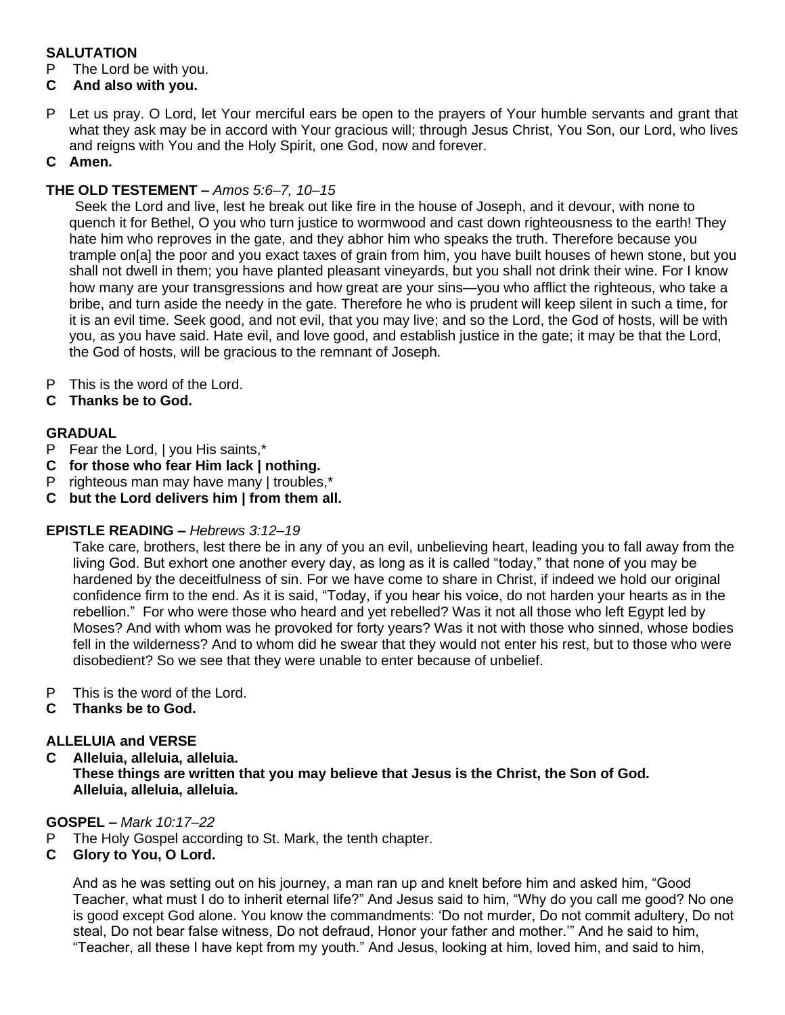# **SALUTATION**

P The Lord be with you.

# **C And also with you.**

P Let us pray. O Lord, let Your merciful ears be open to the prayers of Your humble servants and grant that what they ask may be in accord with Your gracious will; through Jesus Christ, You Son, our Lord, who lives and reigns with You and the Holy Spirit, one God, now and forever.

# **C Amen.**

# **THE OLD TESTEMENT –** *Amos 5:6–7, 10–15*

Seek the Lord and live, lest he break out like fire in the house of Joseph, and it devour, with none to quench it for Bethel, O you who turn justice to wormwood and cast down righteousness to the earth! They hate him who reproves in the gate, and they abhor him who speaks the truth. Therefore because you trample on[a] the poor and you exact taxes of grain from him, you have built houses of hewn stone, but you shall not dwell in them; you have planted pleasant vineyards, but you shall not drink their wine. For I know how many are your transgressions and how great are your sins—you who afflict the righteous, who take a bribe, and turn aside the needy in the gate. Therefore he who is prudent will keep silent in such a time, for it is an evil time. Seek good, and not evil, that you may live; and so the Lord, the God of hosts, will be with you, as you have said. Hate evil, and love good, and establish justice in the gate; it may be that the Lord, the God of hosts, will be gracious to the remnant of Joseph.

- P This is the word of the Lord.
- **C Thanks be to God.**

# **GRADUAL**

- P Fear the Lord, | you His saints,\*
- **C for those who fear Him lack | nothing.**
- P righteous man may have many | troubles,\*
- **C but the Lord delivers him | from them all.**

# **EPISTLE READING –** *Hebrews 3:12–19*

Take care, brothers, lest there be in any of you an evil, unbelieving heart, leading you to fall away from the living God. But exhort one another every day, as long as it is called "today," that none of you may be hardened by the deceitfulness of sin. For we have come to share in Christ, if indeed we hold our original confidence firm to the end. As it is said, "Today, if you hear his voice, do not harden your hearts as in the rebellion." For who were those who heard and yet rebelled? Was it not all those who left Egypt led by Moses? And with whom was he provoked for forty years? Was it not with those who sinned, whose bodies fell in the wilderness? And to whom did he swear that they would not enter his rest, but to those who were disobedient? So we see that they were unable to enter because of unbelief.

- P This is the word of the Lord.
- **C Thanks be to God.**

# **ALLELUIA and VERSE**

**C Alleluia, alleluia, alleluia.**

**These things are written that you may believe that Jesus is the Christ, the Son of God. Alleluia, alleluia, alleluia.**

### **GOSPEL –** *Mark 10:17–22*

P The Holy Gospel according to St. Mark, the tenth chapter.

### **C Glory to You, O Lord.**

And as he was setting out on his journey, a man ran up and knelt before him and asked him, "Good Teacher, what must I do to inherit eternal life?" And Jesus said to him, "Why do you call me good? No one is good except God alone. You know the commandments: 'Do not murder, Do not commit adultery, Do not steal, Do not bear false witness, Do not defraud, Honor your father and mother.'" And he said to him, "Teacher, all these I have kept from my youth." And Jesus, looking at him, loved him, and said to him,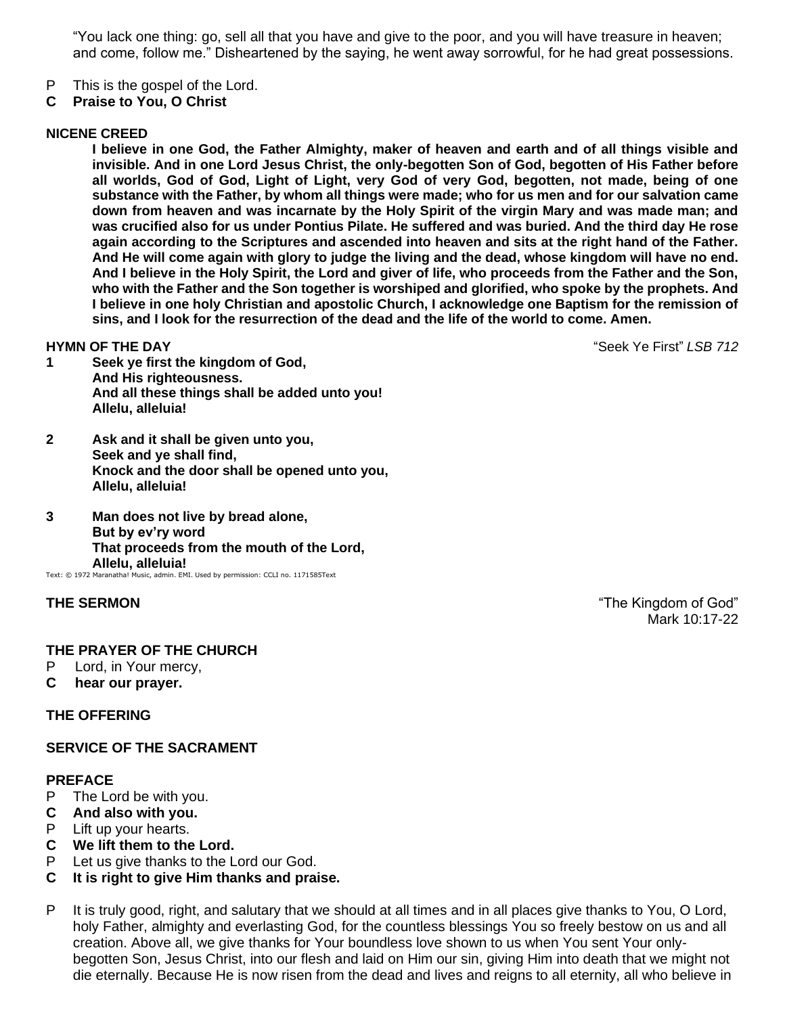"You lack one thing: go, sell all that you have and give to the poor, and you will have treasure in heaven; and come, follow me." Disheartened by the saying, he went away sorrowful, for he had great possessions.

- P This is the gospel of the Lord.
- **C Praise to You, O Christ**

### **NICENE CREED**

**I believe in one God, the Father Almighty, maker of heaven and earth and of all things visible and invisible. And in one Lord Jesus Christ, the only-begotten Son of God, begotten of His Father before all worlds, God of God, Light of Light, very God of very God, begotten, not made, being of one substance with the Father, by whom all things were made; who for us men and for our salvation came down from heaven and was incarnate by the Holy Spirit of the virgin Mary and was made man; and was crucified also for us under Pontius Pilate. He suffered and was buried. And the third day He rose again according to the Scriptures and ascended into heaven and sits at the right hand of the Father. And He will come again with glory to judge the living and the dead, whose kingdom will have no end. And I believe in the Holy Spirit, the Lord and giver of life, who proceeds from the Father and the Son, who with the Father and the Son together is worshiped and glorified, who spoke by the prophets. And I believe in one holy Christian and apostolic Church, I acknowledge one Baptism for the remission of sins, and I look for the resurrection of the dead and the life of the world to come. Amen.**

**HYMN OF THE DAY** "Seek Ye First" *LSB 712*

- **1 Seek ye first the kingdom of God, And His righteousness. And all these things shall be added unto you! Allelu, alleluia!**
- **2 Ask and it shall be given unto you, Seek and ye shall find, Knock and the door shall be opened unto you, Allelu, alleluia!**
- **3 Man does not live by bread alone, But by ev'ry word That proceeds from the mouth of the Lord, Allelu, alleluia!**

Text: © 1972 Maranatha! Music, admin. EMI. Used by permission: CCLI no. 1171585Text

### **THE PRAYER OF THE CHURCH**

- P Lord, in Your mercy,
- **C hear our prayer.**

### **THE OFFERING**

### **SERVICE OF THE SACRAMENT**

### **PREFACE**

- P The Lord be with you.
- **C And also with you.**
- P Lift up your hearts.
- **C We lift them to the Lord.**
- P Let us give thanks to the Lord our God.
- **C It is right to give Him thanks and praise.**
- P It is truly good, right, and salutary that we should at all times and in all places give thanks to You, O Lord, holy Father, almighty and everlasting God, for the countless blessings You so freely bestow on us and all creation. Above all, we give thanks for Your boundless love shown to us when You sent Your onlybegotten Son, Jesus Christ, into our flesh and laid on Him our sin, giving Him into death that we might not die eternally. Because He is now risen from the dead and lives and reigns to all eternity, all who believe in

**THE SERMON THE SERMON THE SERMON** *COMPLETED COMPLETED COMPLETED COMPLETED COMPLETED COMPLETED COMPLETED COMPLETED COMPLETED COMPLETED COMPLETED COMPLETED COMPLETED* Mark 10:17-22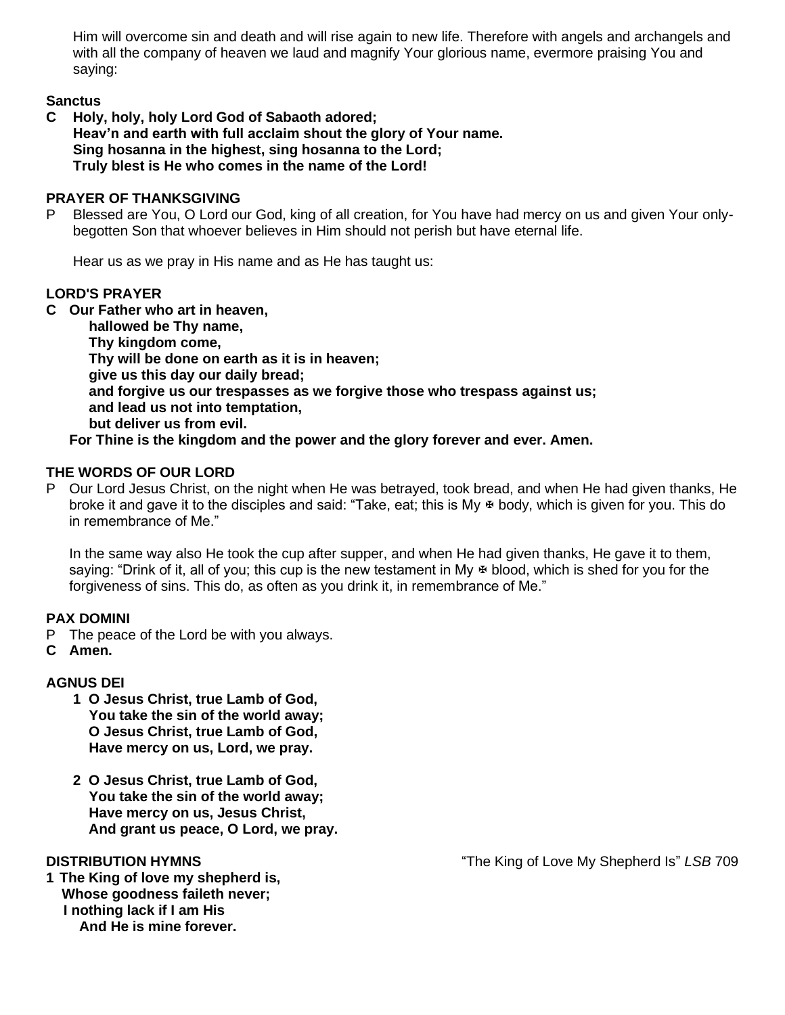Him will overcome sin and death and will rise again to new life. Therefore with angels and archangels and with all the company of heaven we laud and magnify Your glorious name, evermore praising You and saying:

### **Sanctus**

**C Holy, holy, holy Lord God of Sabaoth adored; Heav'n and earth with full acclaim shout the glory of Your name. Sing hosanna in the highest, sing hosanna to the Lord; Truly blest is He who comes in the name of the Lord!**

### **PRAYER OF THANKSGIVING**

P Blessed are You, O Lord our God, king of all creation, for You have had mercy on us and given Your onlybegotten Son that whoever believes in Him should not perish but have eternal life.

Hear us as we pray in His name and as He has taught us:

### **LORD'S PRAYER**

**C Our Father who art in heaven,**

 **hallowed be Thy name, Thy kingdom come, Thy will be done on earth as it is in heaven; give us this day our daily bread; and forgive us our trespasses as we forgive those who trespass against us; and lead us not into temptation, but deliver us from evil. For Thine is the kingdom and the power and the glory forever and ever. Amen.**

**THE WORDS OF OUR LORD** P Our Lord Jesus Christ, on the night when He was betrayed, took bread, and when He had given thanks, He broke it and gave it to the disciples and said: "Take, eat; this is My  $\Phi$  body, which is given for you. This do in remembrance of Me."

In the same way also He took the cup after supper, and when He had given thanks, He gave it to them, saying: "Drink of it, all of you; this cup is the new testament in My  $\Phi$  blood, which is shed for you for the forgiveness of sins. This do, as often as you drink it, in remembrance of Me."

### **PAX DOMINI**

- P The peace of the Lord be with you always.
- **C Amen.**

### **AGNUS DEI**

- **1 O Jesus Christ, true Lamb of God, You take the sin of the world away; O Jesus Christ, true Lamb of God, Have mercy on us, Lord, we pray.**
- **2 O Jesus Christ, true Lamb of God, You take the sin of the world away; Have mercy on us, Jesus Christ, And grant us peace, O Lord, we pray.**

**1 The King of love my shepherd is, Whose goodness faileth never; I nothing lack if I am His And He is mine forever.**

**DISTRIBUTION HYMNS** "The King of Love My Shepherd Is" *LSB* 709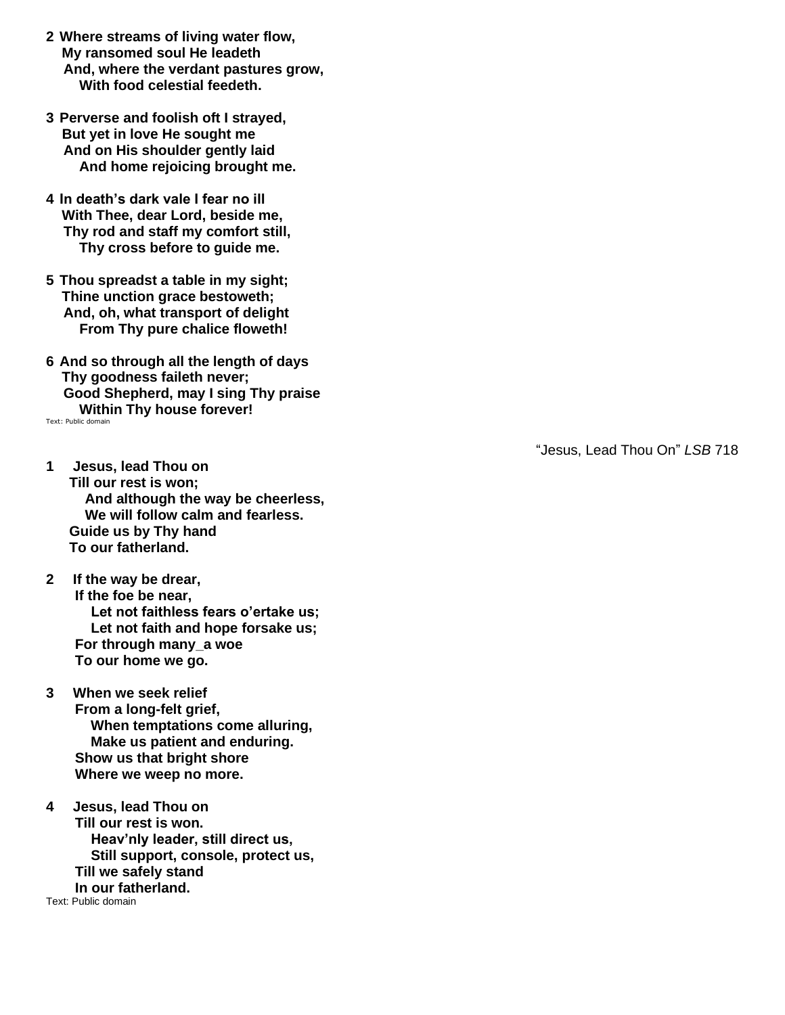- **2 Where streams of living water flow, My ransomed soul He leadeth And, where the verdant pastures grow, With food celestial feedeth.**
- **3 Perverse and foolish oft I strayed, But yet in love He sought me And on His shoulder gently laid And home rejoicing brought me.**
- **4 In death's dark vale I fear no ill With Thee, dear Lord, beside me, Thy rod and staff my comfort still, Thy cross before to guide me.**
- **5 Thou spreadst a table in my sight; Thine unction grace bestoweth; And, oh, what transport of delight From Thy pure chalice floweth!**
- **6 And so through all the length of days Thy goodness faileth never; Good Shepherd, may I sing Thy praise Within Thy house forever!** Text: Public domain
- **1 Jesus, lead Thou on Till our rest is won; And although the way be cheerless, We will follow calm and fearless. Guide us by Thy hand To our fatherland.**
- **2 If the way be drear, If the foe be near, Let not faithless fears o'ertake us; Let not faith and hope forsake us; For through many\_a woe To our home we go.**
- **3 When we seek relief From a long-felt grief, When temptations come alluring, Make us patient and enduring. Show us that bright shore Where we weep no more.**
- **4 Jesus, lead Thou on Till our rest is won. Heav'nly leader, still direct us, Still support, console, protect us, Till we safely stand In our fatherland.** Text: Public domain

"Jesus, Lead Thou On" *LSB* 718